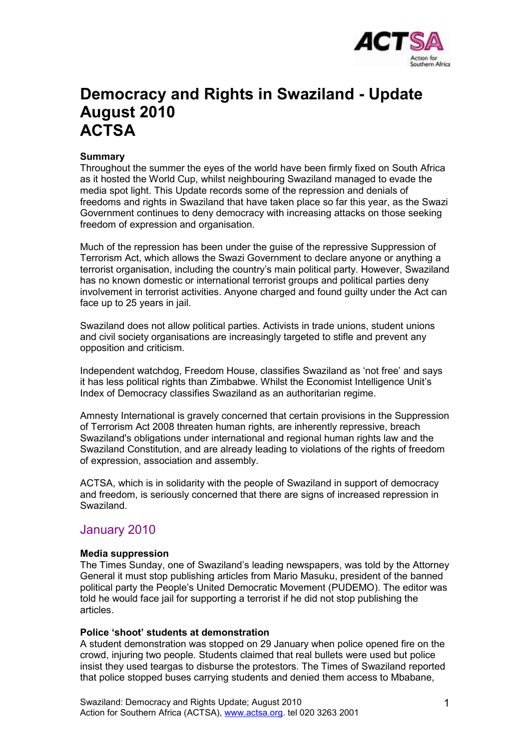

# **Democracy and Rights in Swaziland - Update August 2010 ACTSA**

### **Summary**

Throughout the summer the eyes of the world have been firmly fixed on South Africa as it hosted the World Cup, whilst neighbouring Swaziland managed to evade the media spot light. This Update records some of the repression and denials of freedoms and rights in Swaziland that have taken place so far this year, as the Swazi Government continues to deny democracy with increasing attacks on those seeking freedom of expression and organisation.

Much of the repression has been under the guise of the repressive Suppression of Terrorism Act, which allows the Swazi Government to declare anyone or anything a terrorist organisation, including the country's main political party. However, Swaziland has no known domestic or international terrorist groups and political parties deny involvement in terrorist activities. Anyone charged and found guilty under the Act can face up to 25 years in jail.

Swaziland does not allow political parties. Activists in trade unions, student unions and civil society organisations are increasingly targeted to stifle and prevent any opposition and criticism.

Independent watchdog, Freedom House, classifies Swaziland as 'not free' and says it has less political rights than Zimbabwe. Whilst the Economist Intelligence Unit's Index of Democracy classifies Swaziland as an authoritarian regime.

Amnesty International is gravely concerned that certain provisions in the Suppression of Terrorism Act 2008 threaten human rights, are inherently repressive, breach Swaziland's obligations under international and regional human rights law and the Swaziland Constitution, and are already leading to violations of the rights of freedom of expression, association and assembly.

ACTSA, which is in solidarity with the people of Swaziland in support of democracy and freedom, is seriously concerned that there are signs of increased repression in Swaziland.

### January 2010

### **Media suppression**

The Times Sunday, one of Swaziland's leading newspapers, was told by the Attorney General it must stop publishing articles from Mario Masuku, president of the banned political party the People's United Democratic Movement (PUDEMO). The editor was told he would face jail for supporting a terrorist if he did not stop publishing the articles.

### **Police 'shoot' students at demonstration**

A student demonstration was stopped on 29 January when police opened fire on the crowd, injuring two people. Students claimed that real bullets were used but police insist they used teargas to disburse the protestors. The Times of Swaziland reported that police stopped buses carrying students and denied them access to Mbabane,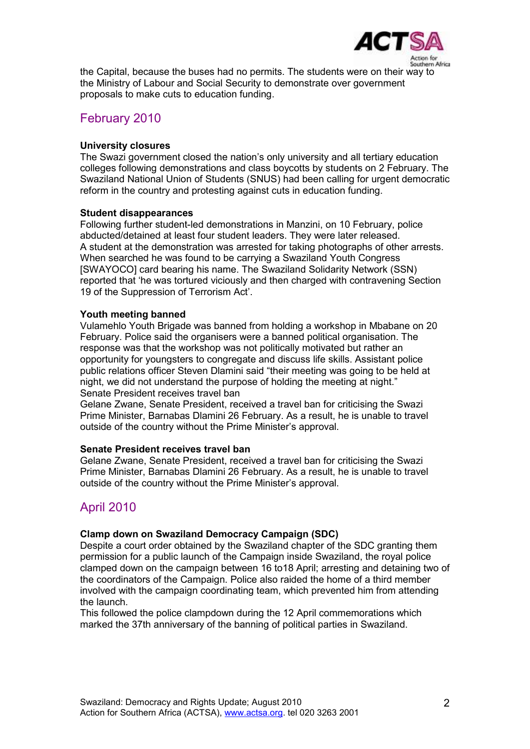

the Capital, because the buses had no permits. The students were on their way to the Ministry of Labour and Social Security to demonstrate over government proposals to make cuts to education funding.

### February 2010

### **University closures**

The Swazi government closed the nation's only university and all tertiary education colleges following demonstrations and class boycotts by students on 2 February. The Swaziland National Union of Students (SNUS) had been calling for urgent democratic reform in the country and protesting against cuts in education funding.

### **Student disappearances**

Following further student-led demonstrations in Manzini, on 10 February, police abducted/detained at least four student leaders. They were later released. A student at the demonstration was arrested for taking photographs of other arrests. When searched he was found to be carrying a Swaziland Youth Congress [SWAYOCO] card bearing his name. The Swaziland Solidarity Network (SSN) reported that 'he was tortured viciously and then charged with contravening Section 19 of the Suppression of Terrorism Act'.

### **Youth meeting banned**

Vulamehlo Youth Brigade was banned from holding a workshop in Mbabane on 20 February. Police said the organisers were a banned political organisation. The response was that the workshop was not politically motivated but rather an opportunity for youngsters to congregate and discuss life skills. Assistant police public relations officer Steven Dlamini said "their meeting was going to be held at night, we did not understand the purpose of holding the meeting at night." Senate President receives travel ban

Gelane Zwane, Senate President, received a travel ban for criticising the Swazi Prime Minister, Barnabas Dlamini 26 February. As a result, he is unable to travel outside of the country without the Prime Minister's approval.

### **Senate President receives travel ban**

Gelane Zwane, Senate President, received a travel ban for criticising the Swazi Prime Minister, Barnabas Dlamini 26 February. As a result, he is unable to travel outside of the country without the Prime Minister's approval.

## April 2010

### **Clamp down on Swaziland Democracy Campaign (SDC)**

Despite a court order obtained by the Swaziland chapter of the SDC granting them permission for a public launch of the Campaign inside Swaziland, the royal police clamped down on the campaign between 16 to18 April; arresting and detaining two of the coordinators of the Campaign. Police also raided the home of a third member involved with the campaign coordinating team, which prevented him from attending the launch.

This followed the police clampdown during the 12 April commemorations which marked the 37th anniversary of the banning of political parties in Swaziland.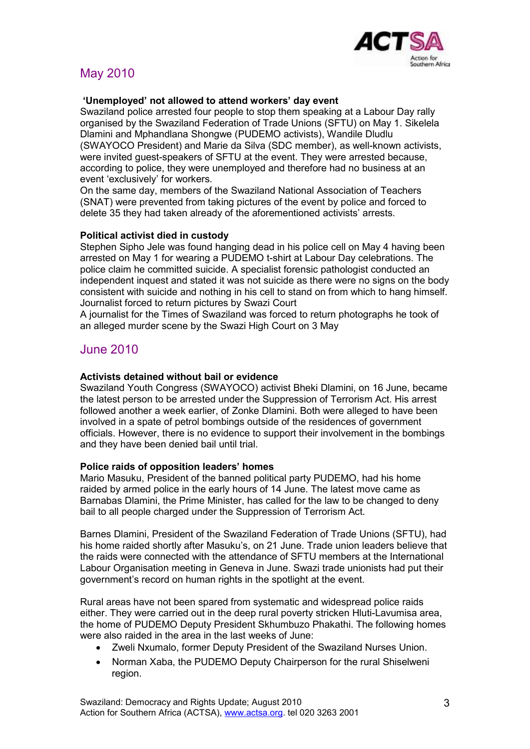

# May 2010

### **'Unemployed' not allowed to attend workers' day event**

Swaziland police arrested four people to stop them speaking at a Labour Day rally organised by the Swaziland Federation of Trade Unions (SFTU) on May 1. Sikelela Dlamini and Mphandlana Shongwe (PUDEMO activists), Wandile Dludlu (SWAYOCO President) and Marie da Silva (SDC member), as well-known activists, were invited guest-speakers of SFTU at the event. They were arrested because, according to police, they were unemployed and therefore had no business at an event 'exclusively' for workers.

On the same day, members of the Swaziland National Association of Teachers (SNAT) were prevented from taking pictures of the event by police and forced to delete 35 they had taken already of the aforementioned activists' arrests.

### **Political activist died in custody**

Stephen Sipho Jele was found hanging dead in his police cell on May 4 having been arrested on May 1 for wearing a PUDEMO t-shirt at Labour Day celebrations. The police claim he committed suicide. A specialist forensic pathologist conducted an independent inquest and stated it was not suicide as there were no signs on the body consistent with suicide and nothing in his cell to stand on from which to hang himself. Journalist forced to return pictures by Swazi Court

A journalist for the Times of Swaziland was forced to return photographs he took of an alleged murder scene by the Swazi High Court on 3 May

### June 2010

### **Activists detained without bail or evidence**

Swaziland Youth Congress (SWAYOCO) activist Bheki Dlamini, on 16 June, became the latest person to be arrested under the Suppression of Terrorism Act. His arrest followed another a week earlier, of Zonke Dlamini. Both were alleged to have been involved in a spate of petrol bombings outside of the residences of government officials. However, there is no evidence to support their involvement in the bombings and they have been denied bail until trial.

### **Police raids of opposition leaders' homes**

Mario Masuku, President of the banned political party PUDEMO, had his home raided by armed police in the early hours of 14 June. The latest move came as Barnabas Dlamini, the Prime Minister, has called for the law to be changed to deny bail to all people charged under the Suppression of Terrorism Act.

Barnes Dlamini, President of the Swaziland Federation of Trade Unions (SFTU), had his home raided shortly after Masuku's, on 21 June. Trade union leaders believe that the raids were connected with the attendance of SFTU members at the International Labour Organisation meeting in Geneva in June. Swazi trade unionists had put their government's record on human rights in the spotlight at the event.

Rural areas have not been spared from systematic and widespread police raids either. They were carried out in the deep rural poverty stricken Hluti-Lavumisa area, the home of PUDEMO Deputy President Skhumbuzo Phakathi. The following homes were also raided in the area in the last weeks of June:

- Zweli Nxumalo, former Deputy President of the Swaziland Nurses Union.
- Norman Xaba, the PUDEMO Deputy Chairperson for the rural Shiselweni region.